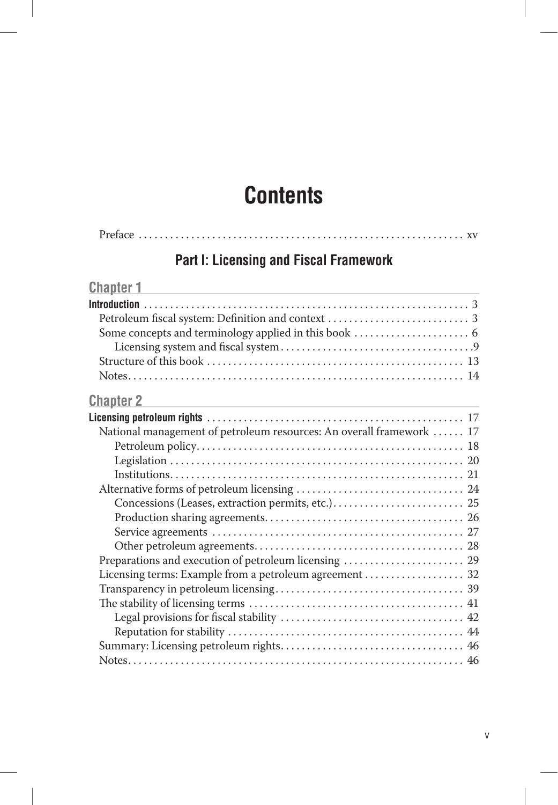# **Contents**

| <b>Part I: Licensing and Fiscal Framework</b> |
|-----------------------------------------------|
| <b>Chapter 1</b>                              |
|                                               |
|                                               |
|                                               |
|                                               |
|                                               |
|                                               |

## **Chapter 2 Chapter 2 Chapter 2 Chapter 2 Chapter 2 Chapter 2 Chapter 2 Chapter 2 C**

| National management of petroleum resources: An overall framework  17 |  |
|----------------------------------------------------------------------|--|
|                                                                      |  |
|                                                                      |  |
|                                                                      |  |
|                                                                      |  |
|                                                                      |  |
|                                                                      |  |
|                                                                      |  |
|                                                                      |  |
|                                                                      |  |
|                                                                      |  |
|                                                                      |  |
|                                                                      |  |
|                                                                      |  |
|                                                                      |  |
|                                                                      |  |
|                                                                      |  |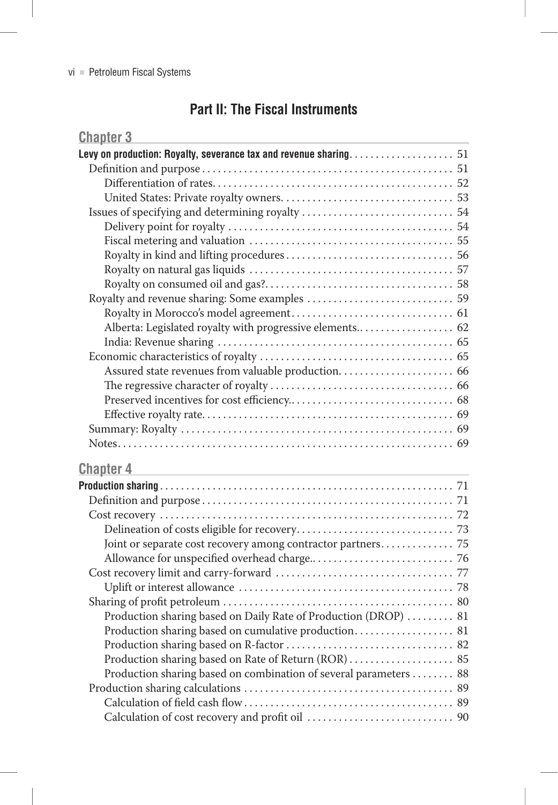## **Part II: The Fiscal Instruments**

| <b>Chapter 3</b>                                                  |  |
|-------------------------------------------------------------------|--|
|                                                                   |  |
|                                                                   |  |
|                                                                   |  |
|                                                                   |  |
|                                                                   |  |
|                                                                   |  |
|                                                                   |  |
|                                                                   |  |
|                                                                   |  |
|                                                                   |  |
|                                                                   |  |
|                                                                   |  |
| Alberta: Legislated royalty with progressive elements 62          |  |
|                                                                   |  |
|                                                                   |  |
|                                                                   |  |
|                                                                   |  |
|                                                                   |  |
|                                                                   |  |
|                                                                   |  |
|                                                                   |  |
|                                                                   |  |
| <b>Chapter 4</b>                                                  |  |
|                                                                   |  |
|                                                                   |  |
|                                                                   |  |
|                                                                   |  |
| Joint or separate cost recovery among contractor partners 75      |  |
|                                                                   |  |
|                                                                   |  |
|                                                                   |  |
|                                                                   |  |
| Production sharing based on Daily Rate of Production (DROP)  81   |  |
| Production sharing based on cumulative production 81              |  |
|                                                                   |  |
| Production sharing based on Rate of Return (ROR)  85              |  |
| Production sharing based on combination of several parameters  88 |  |
|                                                                   |  |
|                                                                   |  |

Calculation of cost recovery and profit oil . . . . . . . . . . . . . . . . . . . . . . . . . . . . 90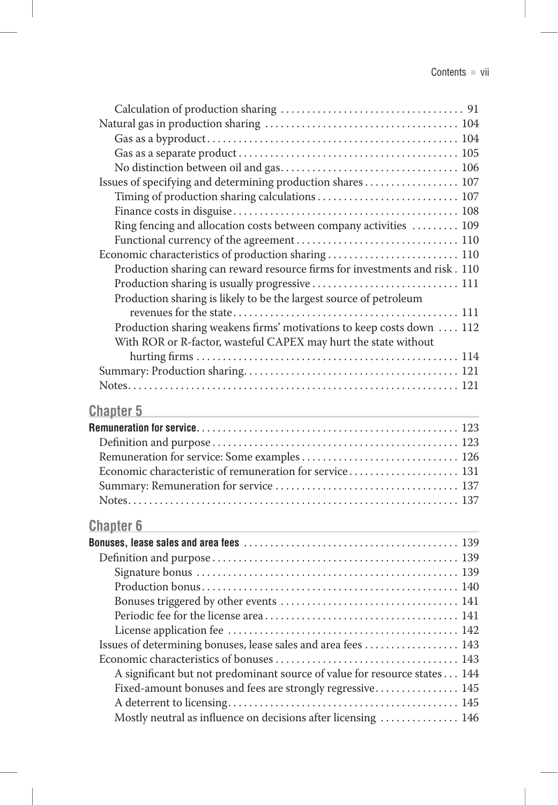| Issues of specifying and determining production shares  107                                                                                                                                                                                               |  |
|-----------------------------------------------------------------------------------------------------------------------------------------------------------------------------------------------------------------------------------------------------------|--|
| Timing of production sharing calculations 107<br>Ring fencing and allocation costs between company activities  109                                                                                                                                        |  |
| Economic characteristics of production sharing  110<br>Production sharing can reward resource firms for investments and risk. 110<br>Production sharing is usually progressive  111<br>Production sharing is likely to be the largest source of petroleum |  |
| Production sharing weakens firms' motivations to keep costs down  112<br>With ROR or R-factor, wasteful CAPEX may hurt the state without                                                                                                                  |  |
| <b>Chapter 5</b>                                                                                                                                                                                                                                          |  |
| <u> 1980 - Johann John Stein, marwolaeth a bhann an t-Amhainn an t-Amhainn an t-Amhainn an t-Amhainn an t-Amhain</u>                                                                                                                                      |  |
|                                                                                                                                                                                                                                                           |  |
|                                                                                                                                                                                                                                                           |  |
|                                                                                                                                                                                                                                                           |  |
| Economic characteristic of remuneration for service 131                                                                                                                                                                                                   |  |
|                                                                                                                                                                                                                                                           |  |
|                                                                                                                                                                                                                                                           |  |
| <b>Chapter 6</b>                                                                                                                                                                                                                                          |  |
|                                                                                                                                                                                                                                                           |  |
|                                                                                                                                                                                                                                                           |  |
|                                                                                                                                                                                                                                                           |  |
|                                                                                                                                                                                                                                                           |  |
|                                                                                                                                                                                                                                                           |  |
|                                                                                                                                                                                                                                                           |  |
|                                                                                                                                                                                                                                                           |  |
| Issues of determining bonuses, lease sales and area fees  143                                                                                                                                                                                             |  |
|                                                                                                                                                                                                                                                           |  |
| A significant but not predominant source of value for resource states 144                                                                                                                                                                                 |  |
| Fixed-amount bonuses and fees are strongly regressive 145                                                                                                                                                                                                 |  |
|                                                                                                                                                                                                                                                           |  |
| Mostly neutral as influence on decisions after licensing  146                                                                                                                                                                                             |  |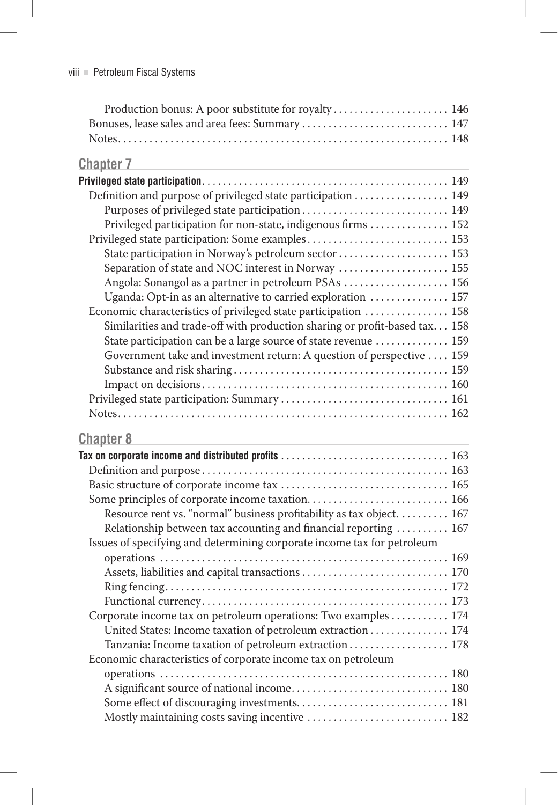| Production bonus: A poor substitute for royalty  146 |  |
|------------------------------------------------------|--|
|                                                      |  |
|                                                      |  |

| <b>Chapter 7</b>                                                                                                                   |  |
|------------------------------------------------------------------------------------------------------------------------------------|--|
|                                                                                                                                    |  |
| Definition and purpose of privileged state participation  149                                                                      |  |
| Purposes of privileged state participation 149                                                                                     |  |
| Privileged participation for non-state, indigenous firms  152                                                                      |  |
| Privileged state participation: Some examples 153                                                                                  |  |
| State participation in Norway's petroleum sector  153                                                                              |  |
| Separation of state and NOC interest in Norway  155                                                                                |  |
| Angola: Sonangol as a partner in petroleum PSAs  156                                                                               |  |
| Uganda: Opt-in as an alternative to carried exploration  157                                                                       |  |
| Economic characteristics of privileged state participation  158                                                                    |  |
| Similarities and trade-off with production sharing or profit-based tax 158                                                         |  |
| State participation can be a large source of state revenue  159                                                                    |  |
| Government take and investment return: A question of perspective  159                                                              |  |
|                                                                                                                                    |  |
|                                                                                                                                    |  |
|                                                                                                                                    |  |
|                                                                                                                                    |  |
| <b>Chapter 8</b>                                                                                                                   |  |
| Tax on corporate income and distributed profits $\ldots \ldots \ldots \ldots \ldots \ldots \ldots \ldots \ldots \ldots \ldots 163$ |  |
|                                                                                                                                    |  |
|                                                                                                                                    |  |
|                                                                                                                                    |  |
| Resource rent vs. "normal" business profitability as tax object. 167                                                               |  |
| Relationship between tax accounting and financial reporting  167                                                                   |  |
| Issues of specifying and determining corporate income tax for petroleum                                                            |  |

|  | Corporate income tax on petroleum operations: Two examples 174 |  |  |  |  |
|--|----------------------------------------------------------------|--|--|--|--|
|  | United States: Income taxation of petroleum extraction 174     |  |  |  |  |
|  | Tanzania: Income taxation of petroleum extraction 178          |  |  |  |  |
|  | Economic characteristics of corporate income tax on petroleum  |  |  |  |  |
|  |                                                                |  |  |  |  |
|  |                                                                |  |  |  |  |
|  |                                                                |  |  |  |  |
|  | Mostly maintaining costs saving incentive  182                 |  |  |  |  |
|  |                                                                |  |  |  |  |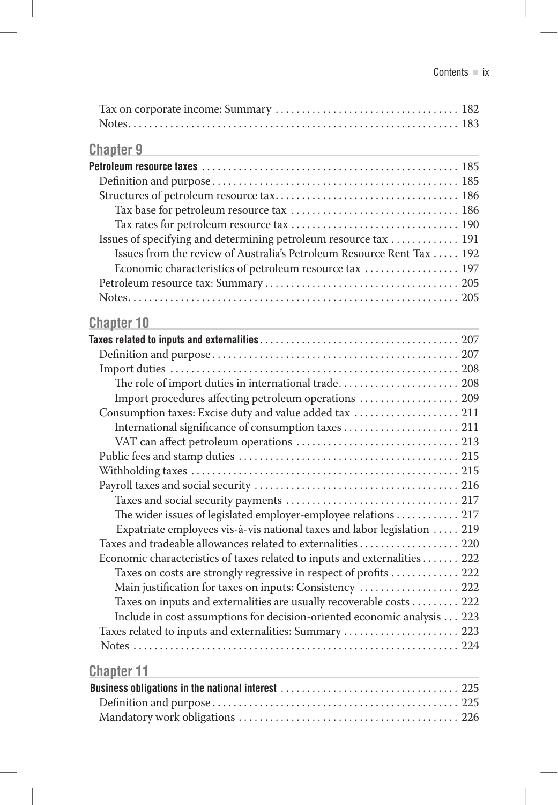| <b>Chapter 9</b>                                                                              |  |
|-----------------------------------------------------------------------------------------------|--|
| and the control of the control of the control of the control of the control of the control of |  |
|                                                                                               |  |
|                                                                                               |  |
|                                                                                               |  |
|                                                                                               |  |
|                                                                                               |  |
| Issues of specifying and determining petroleum resource tax  191                              |  |
| Issues from the review of Australia's Petroleum Resource Rent Tax  192                        |  |
| Economic characteristics of petroleum resource tax  197                                       |  |
|                                                                                               |  |
|                                                                                               |  |
| <u>Chapter 10</u>                                                                             |  |
|                                                                                               |  |
|                                                                                               |  |
|                                                                                               |  |
| The role of import duties in international trade 208                                          |  |
| Import procedures affecting petroleum operations  209                                         |  |
| Consumption taxes: Excise duty and value added tax  211                                       |  |
| International significance of consumption taxes  211                                          |  |
|                                                                                               |  |
|                                                                                               |  |
|                                                                                               |  |
|                                                                                               |  |
|                                                                                               |  |
| The wider issues of legislated employer-employee relations  217                               |  |
| Expatriate employees vis-à-vis national taxes and labor legislation  219                      |  |
| Taxes and tradeable allowances related to externalities 220                                   |  |
| Economic characteristics of taxes related to inputs and externalities 222                     |  |
| Taxes on costs are strongly regressive in respect of profits  222                             |  |
| Main justification for taxes on inputs: Consistency  222                                      |  |
| Taxes on inputs and externalities are usually recoverable costs  222                          |  |
| Include in cost assumptions for decision-oriented economic analysis 223                       |  |
| Taxes related to inputs and externalities: Summary  223                                       |  |
|                                                                                               |  |
| <u>Chapter 11</u><br>the control of the control of the                                        |  |
|                                                                                               |  |
|                                                                                               |  |
|                                                                                               |  |
|                                                                                               |  |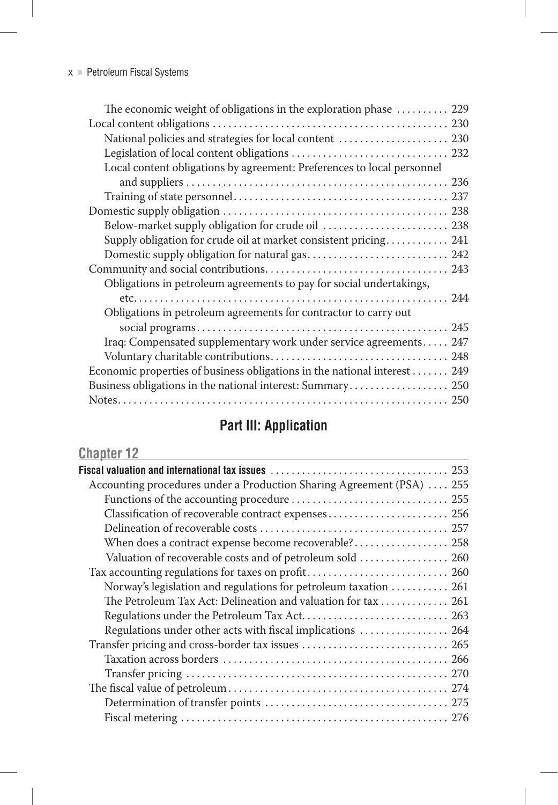| The economic weight of obligations in the exploration phase  229          |
|---------------------------------------------------------------------------|
|                                                                           |
| National policies and strategies for local content  230                   |
|                                                                           |
| Local content obligations by agreement: Preferences to local personnel    |
|                                                                           |
|                                                                           |
|                                                                           |
| Below-market supply obligation for crude oil  238                         |
| Supply obligation for crude oil at market consistent pricing 241          |
|                                                                           |
|                                                                           |
| Obligations in petroleum agreements to pay for social undertakings,       |
|                                                                           |
| Obligations in petroleum agreements for contractor to carry out           |
|                                                                           |
| Iraq: Compensated supplementary work under service agreements 247         |
|                                                                           |
| Economic properties of business obligations in the national interest  249 |
| Business obligations in the national interest: Summary 250                |
|                                                                           |

## **Part III: Application**

| <b>Chapter 12</b>                                                     |
|-----------------------------------------------------------------------|
|                                                                       |
| Accounting procedures under a Production Sharing Agreement (PSA)  255 |
|                                                                       |
|                                                                       |
|                                                                       |
| When does a contract expense become recoverable? 258                  |
| Valuation of recoverable costs and of petroleum sold  260             |
| Tax accounting regulations for taxes on profit 260                    |
| Norway's legislation and regulations for petroleum taxation  261      |
| The Petroleum Tax Act: Delineation and valuation for tax  261         |
| Regulations under the Petroleum Tax Act 263                           |
| Regulations under other acts with fiscal implications  264            |
|                                                                       |
|                                                                       |
|                                                                       |
|                                                                       |
|                                                                       |
|                                                                       |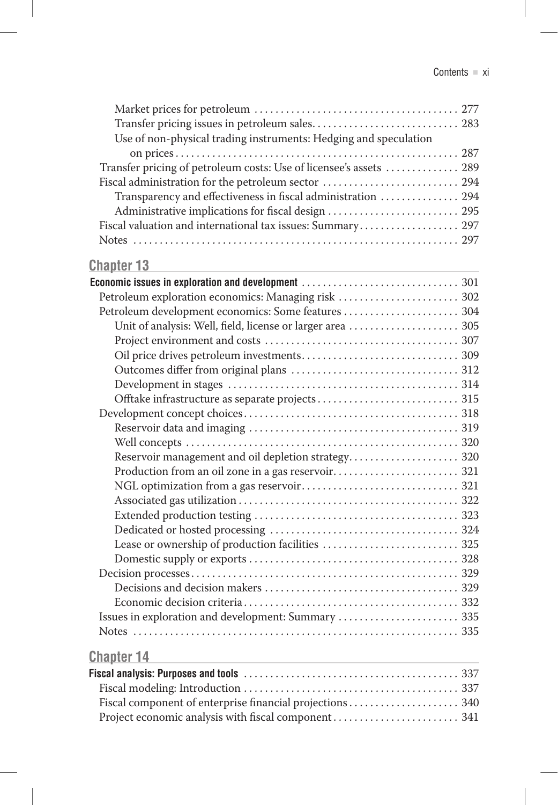| Use of non-physical trading instruments: Hedging and speculation                                                                                                                                                               |  |
|--------------------------------------------------------------------------------------------------------------------------------------------------------------------------------------------------------------------------------|--|
|                                                                                                                                                                                                                                |  |
| Transfer pricing of petroleum costs: Use of licensee's assets  289                                                                                                                                                             |  |
| Fiscal administration for the petroleum sector  294                                                                                                                                                                            |  |
| Transparency and effectiveness in fiscal administration  294                                                                                                                                                                   |  |
| Administrative implications for fiscal design  295                                                                                                                                                                             |  |
| Fiscal valuation and international tax issues: Summary 297                                                                                                                                                                     |  |
|                                                                                                                                                                                                                                |  |
| <u>Chapter 13</u>                                                                                                                                                                                                              |  |
|                                                                                                                                                                                                                                |  |
| Petroleum exploration economics: Managing risk  302                                                                                                                                                                            |  |
| Petroleum development economics: Some features  304                                                                                                                                                                            |  |
| Unit of analysis: Well, field, license or larger area  305                                                                                                                                                                     |  |
|                                                                                                                                                                                                                                |  |
|                                                                                                                                                                                                                                |  |
|                                                                                                                                                                                                                                |  |
|                                                                                                                                                                                                                                |  |
|                                                                                                                                                                                                                                |  |
|                                                                                                                                                                                                                                |  |
|                                                                                                                                                                                                                                |  |
|                                                                                                                                                                                                                                |  |
| Reservoir management and oil depletion strategy 320                                                                                                                                                                            |  |
|                                                                                                                                                                                                                                |  |
|                                                                                                                                                                                                                                |  |
|                                                                                                                                                                                                                                |  |
|                                                                                                                                                                                                                                |  |
|                                                                                                                                                                                                                                |  |
| Lease or ownership of production facilities  325                                                                                                                                                                               |  |
|                                                                                                                                                                                                                                |  |
|                                                                                                                                                                                                                                |  |
|                                                                                                                                                                                                                                |  |
|                                                                                                                                                                                                                                |  |
| Issues in exploration and development: Summary  335                                                                                                                                                                            |  |
|                                                                                                                                                                                                                                |  |
| <b>Chapter 14</b>                                                                                                                                                                                                              |  |
|                                                                                                                                                                                                                                |  |
| Fiscal modeling: Introduction and the contract of the contract of the contract of the contract of the contract of the contract of the contract of the contract of the contract of the contract of the contract of the contract |  |

| Fiscal component of enterprise financial projections 340 |  |
|----------------------------------------------------------|--|
|                                                          |  |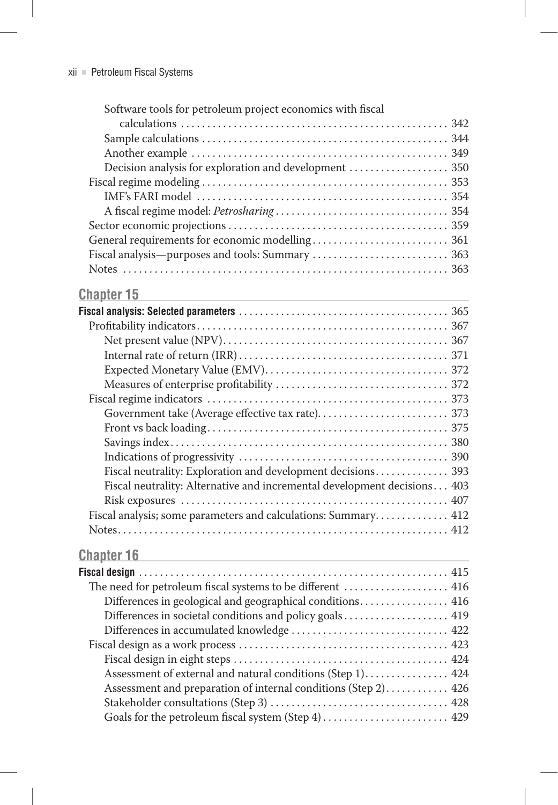## **Chapter 15 Chapter 15 Chapter 15 Chapter 16 Chapter 16 Chapter 16 Chapter 16 Chapter 16 Chapter 16 Chapter 16 Chapter 16 Chapter 16 Chapter 16 Chapter 16 Chapter 16 Chapter 16 Chapter 16**

| Fiscal neutrality: Exploration and development decisions 393             |  |
|--------------------------------------------------------------------------|--|
| Fiscal neutrality: Alternative and incremental development decisions 403 |  |
|                                                                          |  |
| Fiscal analysis; some parameters and calculations: Summary 412           |  |
|                                                                          |  |

## **Chapter 16 Chapter 16 Chapter 16 Chapter 16 Chapter 16 Chapter 16 Chapter 16 Chapter 16 Chapter 16 Chapter 16 Chapter 16 Chapter 16 Chapter 16 Chapter 16 Chapter 16 Chapter 16 Chapter 16**

| The need for petroleum fiscal systems to be different  416     |
|----------------------------------------------------------------|
| Differences in geological and geographical conditions 416      |
|                                                                |
|                                                                |
|                                                                |
|                                                                |
| Assessment of external and natural conditions (Step 1) 424     |
| Assessment and preparation of internal conditions (Step 2) 426 |
|                                                                |
| Goals for the petroleum fiscal system (Step 4)  429            |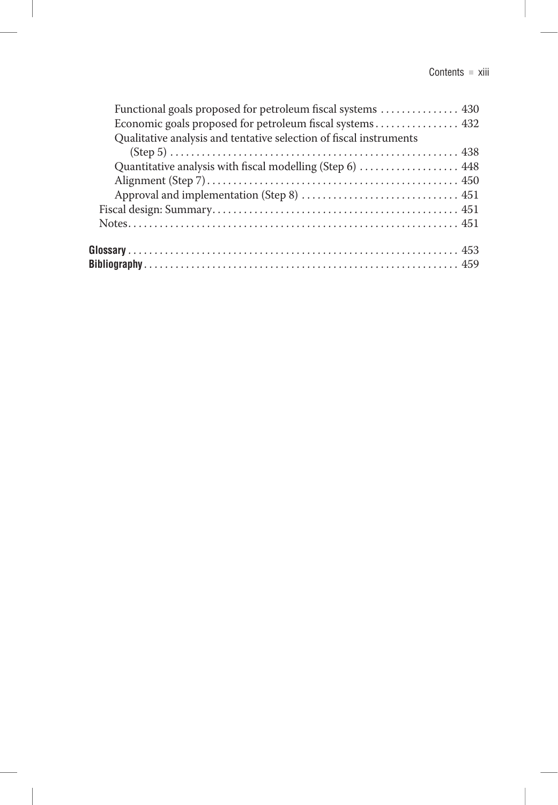| Functional goals proposed for petroleum fiscal systems  430        |
|--------------------------------------------------------------------|
|                                                                    |
| Qualitative analysis and tentative selection of fiscal instruments |
|                                                                    |
| Quantitative analysis with fiscal modelling (Step 6)  448          |
|                                                                    |
|                                                                    |
|                                                                    |
|                                                                    |
|                                                                    |
|                                                                    |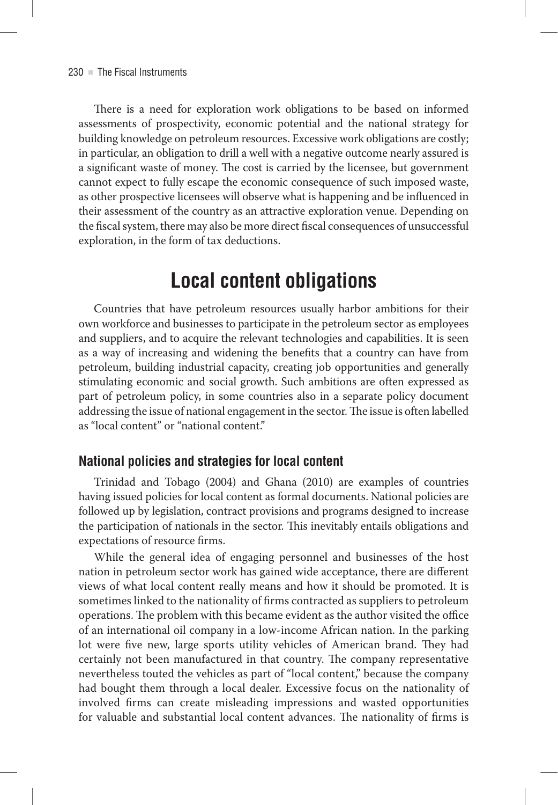There is a need for exploration work obligations to be based on informed assessments of prospectivity, economic potential and the national strategy for building knowledge on petroleum resources . Excessive work obligations are costly; in particular, an obligation to drill a well with a negative outcome nearly assured is a significant waste of money. The cost is carried by the licensee, but government cannot expect to fully escape the economic consequence of such imposed waste, as other prospective licensees will observe what is happening and be influenced in their assessment of the country as an attractive exploration venue . Depending on the fiscal system, there may also be more direct fiscal consequences of unsuccessful exploration, in the form of tax deductions.

# **Local content obligations**

Countries that have petroleum resources usually harbor ambitions for their own workforce and businesses to participate in the petroleum sector as employees and suppliers, and to acquire the relevant technologies and capabilities . It is seen as a way of increasing and widening the benefits that a country can have from petroleum, building industrial capacity, creating job opportunities and generally stimulating economic and social growth. Such ambitions are often expressed as part of petroleum policy, in some countries also in a separate policy document addressing the issue of national engagement in the sector . The issue is often labelled as "local content" or "national content"

## **National policies and strategies for local content**

Trinidad and Tobago (2004) and Ghana (2010) are examples of countries having issued policies for local content as formal documents . National policies are followed up by legislation, contract provisions and programs designed to increase the participation of nationals in the sector. This inevitably entails obligations and expectations of resource firms .

While the general idea of engaging personnel and businesses of the host nation in petroleum sector work has gained wide acceptance, there are different views of what local content really means and how it should be promoted. It is sometimes linked to the nationality of firms contracted as suppliers to petroleum operations . The problem with this became evident as the author visited the office of an international oil company in a low-income African nation . In the parking lot were five new, large sports utility vehicles of American brand. They had certainly not been manufactured in that country. The company representative nevertheless touted the vehicles as part of "local content," because the company had bought them through a local dealer. Excessive focus on the nationality of involved firms can create misleading impressions and wasted opportunities for valuable and substantial local content advances . The nationality of firms is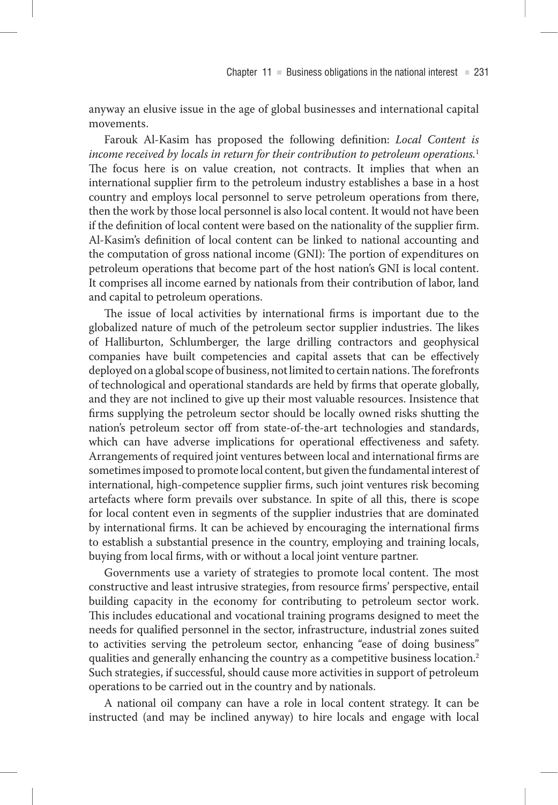anyway an elusive issue in the age of global businesses and international capital movements.

Farouk Al-Kasim has proposed the following definition: *Local Content is income received by locals in return for their contribution to petroleum operations.*<sup>1</sup> The focus here is on value creation, not contracts. It implies that when an international supplier firm to the petroleum industry establishes a base in a host country and employs local personnel to serve petroleum operations from there, then the work by those local personnel is also local content. It would not have been if the definition of local content were based on the nationality of the supplier firm. Al-Kasim's definition of local content can be linked to national accounting and the computation of gross national income (GNI): The portion of expenditures on petroleum operations that become part of the host nation's GNI is local content. It comprises all income earned by nationals from their contribution of labor, land and capital to petroleum operations.

The issue of local activities by international firms is important due to the globalized nature of much of the petroleum sector supplier industries. The likes of Halliburton, Schlumberger, the large drilling contractors and geophysical companies have built competencies and capital assets that can be effectively deployed on a global scope of business, not limited to certain nations . The forefronts of technological and operational standards are held by firms that operate globally, and they are not inclined to give up their most valuable resources . Insistence that firms supplying the petroleum sector should be locally owned risks shutting the nation's petroleum sector off from state-of-the-art technologies and standards, which can have adverse implications for operational effectiveness and safety. Arrangements of required joint ventures between local and international firms are sometimes imposed to promote local content, but given the fundamental interest of international, high-competence supplier firms, such joint ventures risk becoming artefacts where form prevails over substance . In spite of all this, there is scope for local content even in segments of the supplier industries that are dominated by international firms . It can be achieved by encouraging the international firms to establish a substantial presence in the country, employing and training locals, buying from local firms, with or without a local joint venture partner.

Governments use a variety of strategies to promote local content. The most constructive and least intrusive strategies, from resource firms' perspective, entail building capacity in the economy for contributing to petroleum sector work. This includes educational and vocational training programs designed to meet the needs for qualified personnel in the sector, infrastructure, industrial zones suited to activities serving the petroleum sector, enhancing "ease of doing business" qualities and generally enhancing the country as a competitive business location.<sup>2</sup> Such strategies, if successful, should cause more activities in support of petroleum operations to be carried out in the country and by nationals .

A national oil company can have a role in local content strategy . It can be instructed (and may be inclined anyway) to hire locals and engage with local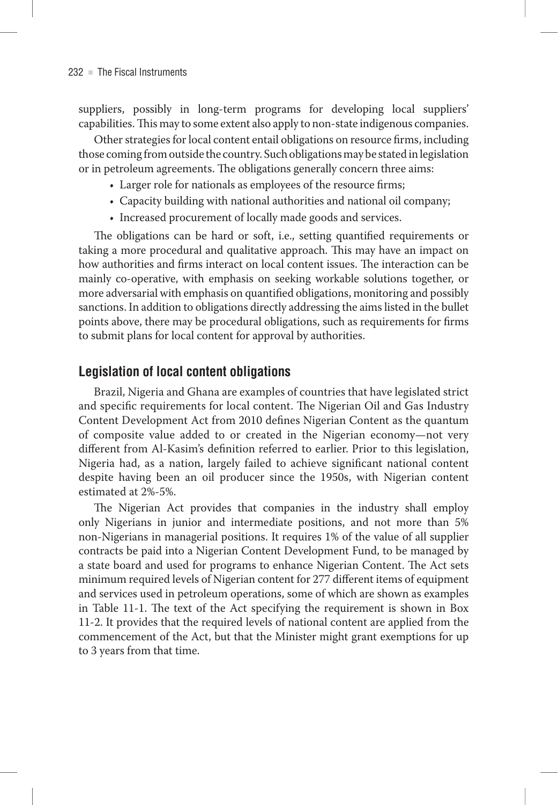suppliers, possibly in long-term programs for developing local suppliers' capabilities . This may to some extent also apply to non-state indigenous companies .

Other strategies for local content entail obligations on resource firms, including those coming from outside the country . Such obligations may be stated in legislation or in petroleum agreements . The obligations generally concern three aims:

- Larger role for nationals as employees of the resource firms;
- Capacity building with national authorities and national oil company;
- Increased procurement of locally made goods and services .

The obligations can be hard or soft, i.e., setting quantified requirements or taking a more procedural and qualitative approach. This may have an impact on how authorities and firms interact on local content issues . The interaction can be mainly co-operative, with emphasis on seeking workable solutions together, or more adversarial with emphasis on quantified obligations, monitoring and possibly sanctions . In addition to obligations directly addressing the aims listed in the bullet points above, there may be procedural obligations, such as requirements for firms to submit plans for local content for approval by authorities .

### **Legislation of local content obligations**

Brazil, Nigeria and Ghana are examples of countries that have legislated strict and specific requirements for local content. The Nigerian Oil and Gas Industry Content Development Act from 2010 defines Nigerian Content as the quantum of composite value added to or created in the Nigerian economy—not very different from Al-Kasim's definition referred to earlier. Prior to this legislation, Nigeria had, as a nation, largely failed to achieve significant national content despite having been an oil producer since the 1950s, with Nigerian content estimated at 2%-5% .

The Nigerian Act provides that companies in the industry shall employ only Nigerians in junior and intermediate positions, and not more than 5% non-Nigerians in managerial positions . It requires 1% of the value of all supplier contracts be paid into a Nigerian Content Development Fund, to be managed by a state board and used for programs to enhance Nigerian Content. The Act sets minimum required levels of Nigerian content for 277 different items of equipment and services used in petroleum operations, some of which are shown as examples in Table 11-1 . The text of the Act specifying the requirement is shown in Box 11-2 . It provides that the required levels of national content are applied from the commencement of the Act, but that the Minister might grant exemptions for up to 3 years from that time.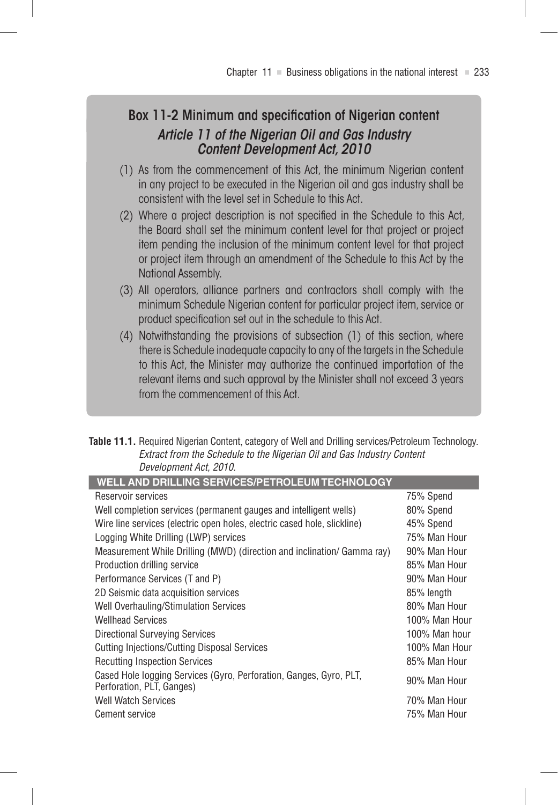## Box 11‑2 Minimum and specification of Nigerian content *Article 11 of the Nigerian Oil and Gas Industry Content Development Act, 2010*

- (1) As from the commencement of this Act, the minimum Nigerian content in any project to be executed in the Nigerian oil and gas industry shall be consistent with the level set in Schedule to this Act.
- (2) Where a project description is not specified in the Schedule to this Act, the Board shall set the minimum content level for that project or project item pending the inclusion of the minimum content level for that project or project item through an amendment of the Schedule to this Act by the National Assembly.
- (3) All operators, alliance partners and contractors shall comply with the minimum Schedule Nigerian content for particular project item, service or product specification set out in the schedule to this Act.
- (4) Notwithstanding the provisions of subsection (1) of this section, where there is Schedule inadequate capacity to any of the targets in the Schedule to this Act, the Minister may authorize the continued importation of the relevant items and such approval by the Minister shall not exceed 3 years from the commencement of this Act.

| <b>Table 11.1.</b> Required Nigerian Content, category of Well and Drilling services/Petroleum Technology. |
|------------------------------------------------------------------------------------------------------------|
| Extract from the Schedule to the Nigerian Oil and Gas Industry Content                                     |
| Development Act. 2010.                                                                                     |

| WELL AND DRILLING SERVICES/PETROLEUM TECHNOLOGY                                                 |               |
|-------------------------------------------------------------------------------------------------|---------------|
| Reservoir services                                                                              | 75% Spend     |
| Well completion services (permanent gauges and intelligent wells)                               | 80% Spend     |
| Wire line services (electric open holes, electric cased hole, slickline)                        | 45% Spend     |
| Logging White Drilling (LWP) services                                                           | 75% Man Hour  |
| Measurement While Drilling (MWD) (direction and inclination/ Gamma ray)                         | 90% Man Hour  |
| Production drilling service                                                                     | 85% Man Hour  |
| Performance Services (T and P)                                                                  | 90% Man Hour  |
| 2D Seismic data acquisition services                                                            | 85% length    |
| <b>Well Overhauling/Stimulation Services</b>                                                    | 80% Man Hour  |
| <b>Wellhead Services</b>                                                                        | 100% Man Hour |
| Directional Surveying Services                                                                  | 100% Man hour |
| <b>Cutting Injections/Cutting Disposal Services</b>                                             | 100% Man Hour |
| <b>Recutting Inspection Services</b>                                                            | 85% Man Hour  |
| Cased Hole logging Services (Gyro, Perforation, Ganges, Gyro, PLT,<br>Perforation, PLT, Ganges) | 90% Man Hour  |
| <b>Well Watch Services</b>                                                                      | 70% Man Hour  |
| <b>Cement service</b>                                                                           | 75% Man Hour  |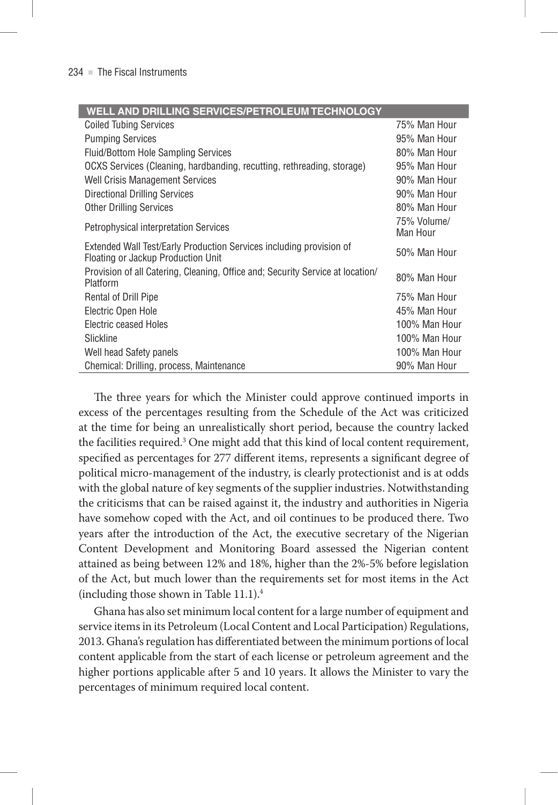#### **WELL AND DRILLING SERVICES/PETROLEUM TECHNOLOGY**

| <b>Coiled Tubing Services</b>                                                                             | 75% Man Hour            |
|-----------------------------------------------------------------------------------------------------------|-------------------------|
| <b>Pumping Services</b>                                                                                   | 95% Man Hour            |
| <b>Fluid/Bottom Hole Sampling Services</b>                                                                | 80% Man Hour            |
| OCXS Services (Cleaning, hardbanding, recutting, rethreading, storage)                                    | 95% Man Hour            |
| <b>Well Crisis Management Services</b>                                                                    | 90% Man Hour            |
| <b>Directional Drilling Services</b>                                                                      | 90% Man Hour            |
| <b>Other Drilling Services</b>                                                                            | 80% Man Hour            |
| <b>Petrophysical interpretation Services</b>                                                              | 75% Volume/<br>Man Hour |
| Extended Wall Test/Early Production Services including provision of<br>Floating or Jackup Production Unit | 50% Man Hour            |
| Provision of all Catering, Cleaning, Office and; Security Service at location/<br>Platform                | 80% Man Hour            |
| Rental of Drill Pipe                                                                                      | 75% Man Hour            |
| Electric Open Hole                                                                                        | 45% Man Hour            |
| Electric ceased Holes                                                                                     | 100% Man Hour           |
| Slickline                                                                                                 | 100% Man Hour           |
| Well head Safety panels                                                                                   | 100% Man Hour           |
| Chemical: Drilling, process, Maintenance                                                                  | 90% Man Hour            |

The three years for which the Minister could approve continued imports in excess of the percentages resulting from the Schedule of the Act was criticized at the time for being an unrealistically short period, because the country lacked the facilities required.<sup>3</sup> One might add that this kind of local content requirement, specified as percentages for 277 different items, represents a significant degree of political micro-management of the industry, is clearly protectionist and is at odds with the global nature of key segments of the supplier industries . Notwithstanding the criticisms that can be raised against it, the industry and authorities in Nigeria have somehow coped with the Act, and oil continues to be produced there. Two years after the introduction of the Act, the executive secretary of the Nigerian Content Development and Monitoring Board assessed the Nigerian content attained as being between 12% and 18%, higher than the 2%-5% before legislation of the Act, but much lower than the requirements set for most items in the Act  $(including those shown in Table 11.1).<sup>4</sup>$ 

Ghana has also set minimum local content for a large number of equipment and service items in its Petroleum (Local Content and Local Participation) Regulations, 2013 . Ghana's regulation has differentiated between the minimum portions of local content applicable from the start of each license or petroleum agreement and the higher portions applicable after 5 and 10 years . It allows the Minister to vary the percentages of minimum required local content.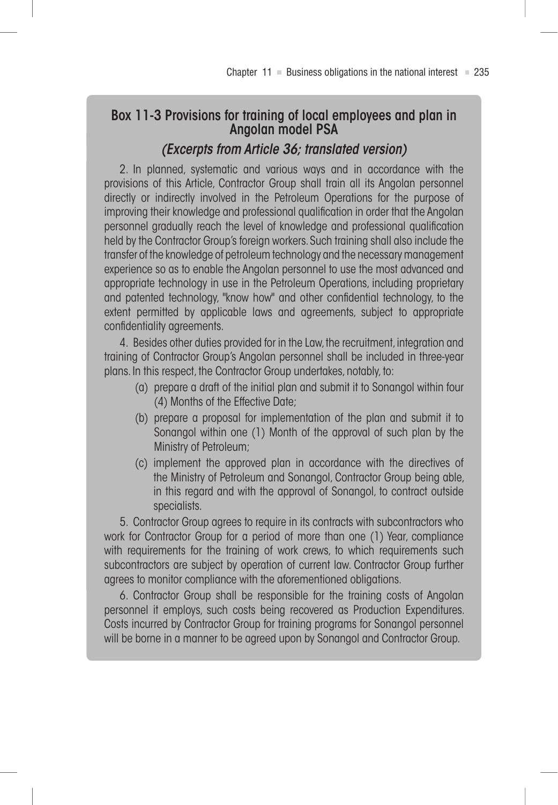## Box 11‑3 Provisions for training of local employees and plan in Angolan model PSA *(Excerpts from Article 36; translated version)*

2. In planned, systematic and various ways and in accordance with the provisions of this Article, Contractor Group shall train all its Angolan personnel directly or indirectly involved in the Petroleum Operations for the purpose of improving their knowledge and professional qualification in order that the Angolan personnel gradually reach the level of knowledge and professional qualification held by the Contractor Group's foreign workers. Such training shall also include the transfer of the knowledge of petroleum technology and the necessary management experience so as to enable the Angolan personnel to use the most advanced and appropriate technology in use in the Petroleum Operations, including proprietary and patented technology, "know how" and other confidential technology, to the extent permitted by applicable laws and agreements, subject to appropriate confidentiality agreements.

4. Besides other duties provided for in the Law, the recruitment, integration and training of Contractor Group's Angolan personnel shall be included in three-year plans. In this respect, the Contractor Group undertakes, notably, to:

- (a) prepare a draft of the initial plan and submit it to Sonangol within four (4) Months of the Effective Date;
- (b) prepare a proposal for implementation of the plan and submit it to Sonangol within one (1) Month of the approval of such plan by the Ministry of Petroleum;
- (c) implement the approved plan in accordance with the directives of the Ministry of Petroleum and Sonangol, Contractor Group being able, in this regard and with the approval of Sonangol, to contract outside specialists.

5. Contractor Group agrees to require in its contracts with subcontractors who work for Contractor Group for a period of more than one (1) Year, compliance with requirements for the training of work crews, to which requirements such subcontractors are subject by operation of current law. Contractor Group further agrees to monitor compliance with the aforementioned obligations.

6. Contractor Group shall be responsible for the training costs of Angolan personnel it employs, such costs being recovered as Production Expenditures. Costs incurred by Contractor Group for training programs for Sonangol personnel will be borne in a manner to be agreed upon by Sonangol and Contractor Group.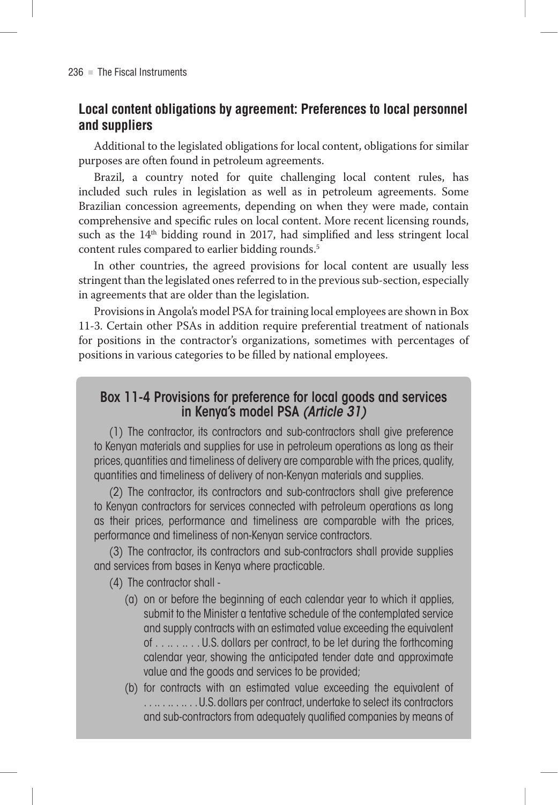## **Local content obligations by agreement: Preferences to local personnel and suppliers**

Additional to the legislated obligations for local content, obligations for similar purposes are often found in petroleum agreements .

Brazil, a country noted for quite challenging local content rules, has included such rules in legislation as well as in petroleum agreements . Some Brazilian concession agreements, depending on when they were made, contain comprehensive and specific rules on local content. More recent licensing rounds, such as the 14<sup>th</sup> bidding round in 2017, had simplified and less stringent local content rules compared to earlier bidding rounds . 5

In other countries, the agreed provisions for local content are usually less stringent than the legislated ones referred to in the previous sub-section, especially in agreements that are older than the legislation.

Provisions in Angola's model PSA for training local employees are shown in Box 11-3 . Certain other PSAs in addition require preferential treatment of nationals for positions in the contractor's organizations, sometimes with percentages of positions in various categories to be filled by national employees .

## Box 11-4 Provisions for preference for local goods and services in Kenya's model PSA *(Article 31)*

(1) The contractor, its contractors and sub-contractors shall give preference to Kenyan materials and supplies for use in petroleum operations as long as their prices, quantities and timeliness of delivery are comparable with the prices, quality, quantities and timeliness of delivery of non-Kenyan materials and supplies.

(2) The contractor, its contractors and sub-contractors shall give preference to Kenyan contractors for services connected with petroleum operations as long as their prices, performance and timeliness are comparable with the prices, performance and timeliness of non-Kenyan service contractors.

(3) The contractor, its contractors and sub-contractors shall provide supplies and services from bases in Kenya where practicable.

- (4) The contractor shall
	- (a) on or before the beginning of each calendar year to which it applies, submit to the Minister a tentative schedule of the contemplated service and supply contracts with an estimated value exceeding the equivalent of . . .. . .. . . U.S. dollars per contract, to be let during the forthcoming calendar year, showing the anticipated tender date and approximate value and the goods and services to be provided;
	- (b) for contracts with an estimated value exceeding the equivalent of ...........U.S. dollars per contract, undertake to select its contractors and sub-contractors from adequately qualified companies by means of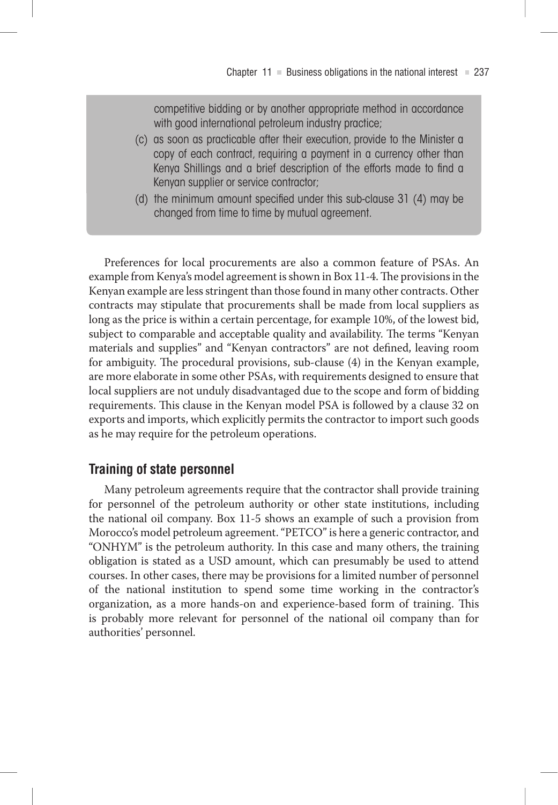competitive bidding or by another appropriate method in accordance with good international petroleum industry practice;

- (c) as soon as practicable after their execution, provide to the Minister a copy of each contract, requiring a payment in a currency other than Kenya Shillings and a brief description of the efforts made to find a Kenyan supplier or service contractor;
- (d) the minimum amount specified under this sub-clause 31 (4) may be changed from time to time by mutual agreement.

Preferences for local procurements are also a common feature of PSAs. An example from Kenya's model agreement is shown in Box 11-4 . The provisions in the Kenyan example are less stringent than those found in many other contracts . Other contracts may stipulate that procurements shall be made from local suppliers as long as the price is within a certain percentage, for example 10%, of the lowest bid, subject to comparable and acceptable quality and availability. The terms "Kenyan materials and supplies" and "Kenyan contractors" are not defined, leaving room for ambiguity. The procedural provisions, sub-clause (4) in the Kenyan example, are more elaborate in some other PSAs, with requirements designed to ensure that local suppliers are not unduly disadvantaged due to the scope and form of bidding requirements . This clause in the Kenyan model PSA is followed by a clause 32 on exports and imports, which explicitly permits the contractor to import such goods as he may require for the petroleum operations.

### **Training of state personnel**

Many petroleum agreements require that the contractor shall provide training for personnel of the petroleum authority or other state institutions, including the national oil company. Box 11-5 shows an example of such a provision from Morocco's model petroleum agreement. "PETCO" is here a generic contractor, and "ONHYM" is the petroleum authority . In this case and many others, the training obligation is stated as a USD amount, which can presumably be used to attend courses . In other cases, there may be provisions for a limited number of personnel of the national institution to spend some time working in the contractor's organization, as a more hands-on and experience-based form of training. This is probably more relevant for personnel of the national oil company than for authorities' personnel.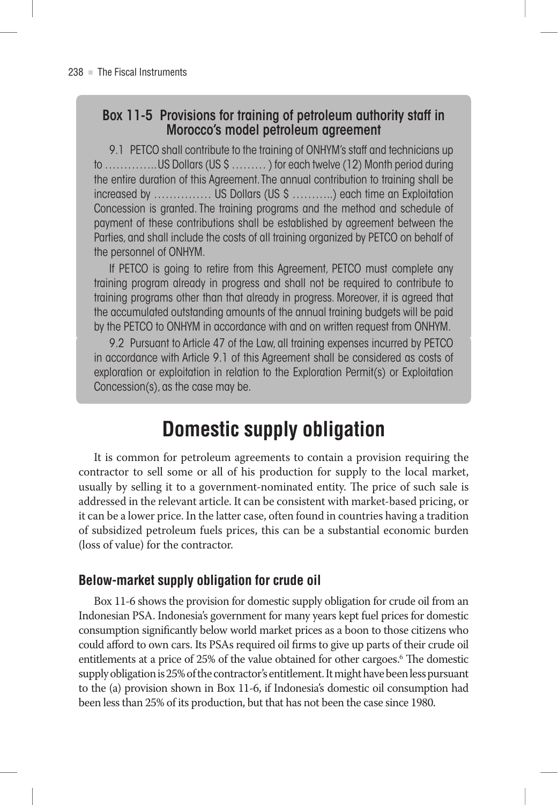## Box 11‑5 Provisions for training of petroleum authority staff in Morocco's model petroleum agreement

9.1 PETCO shall contribute to the training of ONHYM's staff and technicians up to ………….. US Dollars (US \$ ……… ) for each twelve (12) Month period during the entire duration of this Agreement. The annual contribution to training shall be increased by …………… US Dollars (US \$ ………..) each time an Exploitation Concession is granted. The training programs and the method and schedule of payment of these contributions shall be established by agreement between the Parties, and shall include the costs of all training organized by PETCO on behalf of the personnel of ONHYM.

If PETCO is going to retire from this Agreement, PETCO must complete any training program already in progress and shall not be required to contribute to training programs other than that already in progress. Moreover, it is agreed that the accumulated outstanding amounts of the annual training budgets will be paid by the PETCO to ONHYM in accordance with and on written request from ONHYM.

9.2 Pursuant to Article 47 of the Law, all training expenses incurred by PETCO in accordance with Article 9.1 of this Agreement shall be considered as costs of exploration or exploitation in relation to the Exploration Permit(s) or Exploitation Concession(s), as the case may be.

# **Domestic supply obligation**

It is common for petroleum agreements to contain a provision requiring the contractor to sell some or all of his production for supply to the local market, usually by selling it to a government-nominated entity . The price of such sale is addressed in the relevant article . It can be consistent with market-based pricing, or it can be a lower price . In the latter case, often found in countries having a tradition of subsidized petroleum fuels prices, this can be a substantial economic burden (loss of value) for the contractor.

## **Below-market supply obligation for crude oil**

Box 11-6 shows the provision for domestic supply obligation for crude oil from an Indonesian PSA . Indonesia's government for many years kept fuel prices for domestic consumption significantly below world market prices as a boon to those citizens who could afford to own cars . Its PSAs required oil firms to give up parts of their crude oil entitlements at a price of 25% of the value obtained for other cargoes . 6 The domestic supply obligation is 25% of the contractor's entitlement . It might have been less pursuant to the (a) provision shown in Box 11-6, if Indonesia's domestic oil consumption had been less than 25% of its production, but that has not been the case since 1980.